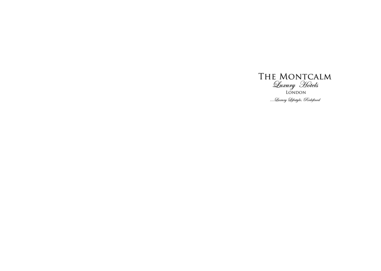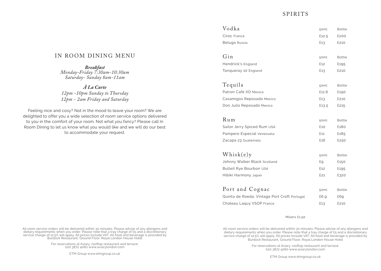### SPIRITS

 $\mathbf{r}$   $\mathbf{r}$   $\mathbf{r}$   $\mathbf{r}$   $\mathbf{r}$ 

| Vodka                                        | 50ml  | <b>Bottle</b> |
|----------------------------------------------|-------|---------------|
| Ciroc France                                 | £12.5 | £200          |
| Beluga Russia                                | £13   | £210          |
| Gin                                          | 50ml  | <b>Bottle</b> |
| Hendrick's England                           | £12   | £195          |
| Tanqueray 10 England                         | £13   | £210          |
| Tequila                                      | 50ml  | Bottle        |
| Patron Café XO Mexico                        | £11.6 | £190          |
| Casamigos Reposado Mexico                    | £13   | £210          |
| Don Julio Reposado Mexico                    | £13.5 | £215          |
| Rum                                          | 50ml  | <b>Bottle</b> |
| Sailor Jerry Spiced Rum USA                  | £10   | £180          |
| Pampero Especial Venezuela                   | £11   | £185          |
| Zacapa 23 Guatemala                          | £16   | £250          |
| Whisk(e)y                                    | 50ml  | <b>Bottle</b> |
| Johnny Walker Black Scotland                 | £9    | £150          |
| Bulleit Rye Bourbon USA                      | £12   | £195          |
| Hibiki Harmony Japan                         | £21   | £320          |
| Port and Cognac                              | 50ml  | <b>Bottle</b> |
| Quinta de Roeda, Vintage Port Croft Portugal | £6.9  | £69           |
| Chateau Laquy VSOP France                    | £13   | £210          |
|                                              |       |               |

#### Mixers £1.50

All room service orders will be delivered within 30 minutes. Please advise of any allergens and dietary requirements when you order. Please note that a tray charge of £5 and a discretionary service charge of 12.5% will apply. All prices include VAT. All food and beverage is provided by Burdock Restaurant, Ground Floor, Royal London House Hotel

> For reservations at Aviary, rooftop restaurant and terrace: 020 3872 4060 www.aviarylondon.com

> > ETM Group www.etmgroup.co.uk

# IN ROOM DINING MENU

*Breakfast Monday-Friday 7:30am-10:30am Saturday- Sunday 8am-11am*

*À La Carte 12pm -10pm Sunday to Thursday 12pm - 2am Friday and Saturday*

Feeling nice and cosy? Not in the mood to leave your room? We are delighted to offer you a wide selection of room service options delivered to you in the comfort of your room. Not what you fancy? Please call In Room Dining to let us know what you would like and we will do our best to accommodate your request.

All room service orders will be delivered within 30 minutes. Please advise of any allergens and dietary requirements when you order. Please note that a tray charge of £5 and a discretionary service charge of 12.5% will apply. All prices include VAT. All food and beverage is provided by Burdock Restaurant, Ground Floor, Royal London House Hotel

> For reservations at Aviary, rooftop restaurant and terrace: 020 3872 4060 www.aviarylondon.com

> > ETM Group www.etmgroup.co.uk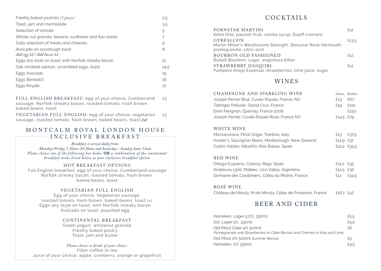| Freshly baked pastries (3 pieces)                       | 2.5  |
|---------------------------------------------------------|------|
| Toast, jam and marmalade                                | 3.5  |
| Selection of cereals                                    | 5    |
| Whole nut granola, banana, sunflower and flax seeds     | 7    |
| Daily selection of meats and cheeses                    | 9    |
| Avocado on sourdough toast<br>Add egg £2 / Add bacon £2 | 8    |
| Eggs any style on toast, with Norfolk streaky bacon     | 12   |
| Oak smoked salmon, scrambled eggs, toast                | 14.5 |
| Eggs Avocado                                            | 15   |
| Eggs Benedict                                           | 16   |
| Eggs Royale                                             | 17   |

FULL ENGLISH BREAKFAST: egg of your choice, Cumberland 13 sausage, Norfolk streaky bacon, roasted tomato, hash brown, baked beans, toast

VEGETARIAN FULL ENGLISH: egg of your choice, vegetarian 13 sausage, roasted tomato, hash brown, baked beans, toast *(v)*

# MONTCALM ROYAL LONDON HOUSE INCLUSIVE BREAKFAST

#### *Breakfast is served daily from:*

*Monday-Friday 7:30am-10:30am and Saturday - Sunday 8am-11am Please choose one of the following hot dishes OR a combination of the continental breakfast items listed below as your inclusive breakfast option*

#### HOT BREAKFAST OPTIONS

Full English breakfast: egg of your choice, Cumberland sausage Norfolk streaky bacon, roasted tomato, hash brown, baked beans, toast

### VEGETARIAN FULL ENGLISH

Egg of your choice, Vegetarian sausage, roasted tomato, hash brown, baked beans, toast *(v)* Eggs any style on toast, with Norfolk streaky bacon Avocado on toast, poached egg

### CONTINENTAL BREAKFAST

Greek yogurt, wholenut granola Freshly baked pastry Toast, jam and butter

#### *Please choose a drink of your choice:*

Filter coffee or tea Juice of your choice: apple, cranberry, orange or grapefruit

# COCKTAILS

| PORNSTAR MARTINI<br>Ketel One, passion fruit, vanilla syrup, Dopff crémant                                   | \$12  |
|--------------------------------------------------------------------------------------------------------------|-------|
| <b>GYRFALCON</b><br>Martin Miller's Westbourne Strength, Belsazar Rosé Vermouth,<br>pomegranate, citric acid | £13.5 |
| <b>BOURBON OLD FASHIONED</b><br>Bulleit Bourbon, sugar, angostura bitter                                     | \$12  |
| STRAWBERRY DAIQUIRI<br>Pampero Anejo Especial, strawberries, lime juice, sugar                               | \$12  |

# WINES

### CHAMPAGNE AND SPARKLING WINE Glass Bottle

| Joseph Perrier Brut, Cuvée Royale, France, NV | £13 £67      |      |
|-----------------------------------------------|--------------|------|
| Tattinger Prélude, Grand Crus, France         | $£19$ $£110$ |      |
| Dom Perignon, Epernay, France 2008            |              | £250 |
| Joseph Perrier, Cuvée Royale Rosé, France NV  | £14.5 £79    |      |

#### WHITE WINE

| Mezzacorona, Pinot Grigio, Trentino, Italy          | £13 £37.5   |  |
|-----------------------------------------------------|-------------|--|
| Hunter's, Sauvignon Blanc, Marlborough, New Zealand | £12.9 £37   |  |
| Castro Valdes, Albariño, Rias Baixas, Spain         | £12.4 £35.5 |  |

#### RED WINE

| Ortega Ezquerro, Crianza, Rioja, Spain          | £12.2 £35 |  |
|-------------------------------------------------|-----------|--|
| Andeluna 1300, Malbec, Uco Valley, Argentina    | £12.5 £36 |  |
| Domaine des Carabiniers. Côtes du Rhône. France | £12 £34.5 |  |

### ROSÉ WINE

Château de Minuty, M de Minuty, Côtes de Provence, France £16.2 £47

# BEER AND CIDER

| Heineken, Lager 5.0%, 330ml                                                 | £5.5 |
|-----------------------------------------------------------------------------|------|
| Sol, Lager 5%, 330ml                                                        | £5.5 |
| Old Mout Cider 4% 500ml                                                     | £б   |
| Pomegranate and Strawberries or Cider Berries and Cherries or Kiwi and Lime |      |
| Old Mout 0% 500ml Summer Berries                                            | £Б   |
| Heineken, 0% 330ml                                                          | £4.5 |